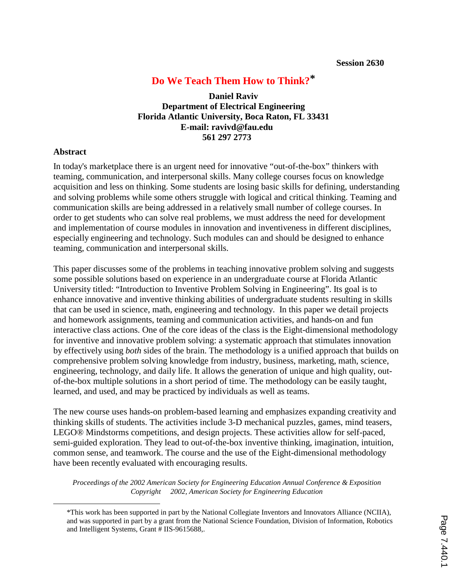# **Do We Teach Them How to Think?\***

**Daniel Raviv Department of Electrical Engineering Florida Atlantic University, Boca Raton, FL 33431 E-mail: ravivd@fau.edu 561 297 2773** 

### **Abstract**

In today's marketplace there is an urgent need for innovative "out-of-the-box" thinkers with teaming, communication, and interpersonal skills. Many college courses focus on knowledge acquisition and less on thinking. Some students are losing basic skills for defining, understanding and solving problems while some others struggle with logical and critical thinking. Teaming and communication skills are being addressed in a relatively small number of college courses. In order to get students who can solve real problems, we must address the need for development and implementation of course modules in innovation and inventiveness in different disciplines, especially engineering and technology. Such modules can and should be designed to enhance teaming, communication and interpersonal skills.

This paper discusses some of the problems in teaching innovative problem solving and suggests some possible solutions based on experience in an undergraduate course at Florida Atlantic University titled: "Introduction to Inventive Problem Solving in Engineering". Its goal is to enhance innovative and inventive thinking abilities of undergraduate students resulting in skills that can be used in science, math, engineering and technology. In this paper we detail projects and homework assignments, teaming and communication activities, and hands-on and fun interactive class actions. One of the core ideas of the class is the Eight-dimensional methodology for inventive and innovative problem solving: a systematic approach that stimulates innovation by effectively using *both* sides of the brain. The methodology is a unified approach that builds on comprehensive problem solving knowledge from industry, business, marketing, math, science, engineering, technology, and daily life. It allows the generation of unique and high quality, outof-the-box multiple solutions in a short period of time. The methodology can be easily taught, learned, and used, and may be practiced by individuals as well as teams.

The new course uses hands-on problem-based learning and emphasizes expanding creativity and thinking skills of students. The activities include 3-D mechanical puzzles, games, mind teasers, LEGO® Mindstorms competitions, and design projects. These activities allow for self-paced, semi-guided exploration. They lead to out-of-the-box inventive thinking, imagination, intuition, common sense, and teamwork. The course and the use of the Eight-dimensional methodology have been recently evaluated with encouraging results.

 <sup>\*</sup>This work has been supported in part by the National Collegiate Inventors and Innovators Alliance (NCIIA), and was supported in part by a grant from the National Science Foundation, Division of Information, Robotics and Intelligent Systems, Grant # IIS-9615688,.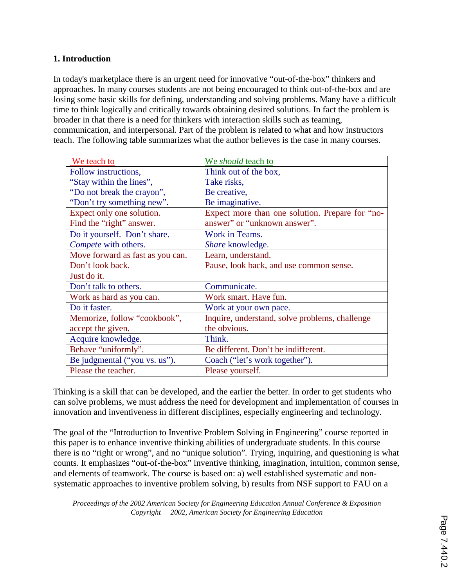## **1. Introduction**

In today's marketplace there is an urgent need for innovative "out-of-the-box" thinkers and approaches. In many courses students are not being encouraged to think out-of-the-box and are losing some basic skills for defining, understanding and solving problems. Many have a difficult time to think logically and critically towards obtaining desired solutions. In fact the problem is broader in that there is a need for thinkers with interaction skills such as teaming, communication, and interpersonal. Part of the problem is related to what and how instructors teach. The following table summarizes what the author believes is the case in many courses.

| We teach to                      | We <i>should</i> teach to                       |
|----------------------------------|-------------------------------------------------|
| Follow instructions,             | Think out of the box,                           |
| "Stay within the lines",         | Take risks,                                     |
| "Do not break the crayon",       | Be creative,                                    |
| "Don't try something new".       | Be imaginative.                                 |
| Expect only one solution.        | Expect more than one solution. Prepare for "no- |
| Find the "right" answer.         | answer" or "unknown answer".                    |
| Do it yourself. Don't share.     | Work in Teams.                                  |
| Compete with others.             | <i>Share</i> knowledge.                         |
| Move forward as fast as you can. | Learn, understand.                              |
| Don't look back.                 | Pause, look back, and use common sense.         |
| Just do it.                      |                                                 |
| Don't talk to others.            | Communicate.                                    |
| Work as hard as you can.         | Work smart. Have fun.                           |
| Do it faster.                    | Work at your own pace.                          |
| Memorize, follow "cookbook",     | Inquire, understand, solve problems, challenge  |
| accept the given.                | the obvious.                                    |
| Acquire knowledge.               | Think.                                          |
| Behave "uniformly".              | Be different. Don't be indifferent.             |
| Be judgmental ("you vs. us").    | Coach ("let's work together").                  |
| Please the teacher.              | Please yourself.                                |

Thinking is a skill that can be developed, and the earlier the better. In order to get students who can solve problems, we must address the need for development and implementation of courses in innovation and inventiveness in different disciplines, especially engineering and technology.

The goal of the "Introduction to Inventive Problem Solving in Engineering" course reported in this paper is to enhance inventive thinking abilities of undergraduate students. In this course there is no "right or wrong", and no "unique solution"*.* Trying, inquiring, and questioning is what counts. It emphasizes "out-of-the-box" inventive thinking, imagination, intuition, common sense, and elements of teamwork. The course is based on: a) well established systematic and nonsystematic approaches to inventive problem solving, b) results from NSF support to FAU on a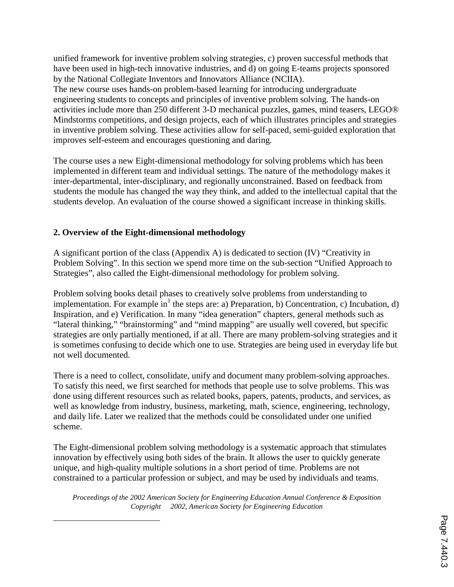unified framework for inventive problem solving strategies, c) proven successful methods that have been used in high-tech innovative industries, and d) on going E-teams projects sponsored by the National Collegiate Inventors and Innovators Alliance (NCIIA).

The new course uses hands-on problem-based learning for introducing undergraduate engineering students to concepts and principles of inventive problem solving. The hands-on activities include more than 250 different 3-D mechanical puzzles, games, mind teasers, LEGO® Mindstorms competitions, and design projects, each of which illustrates principles and strategies in inventive problem solving. These activities allow for self-paced, semi-guided exploration that improves self-esteem and encourages questioning and daring.

The course uses a new Eight-dimensional methodology for solving problems which has been implemented in different team and individual settings. The nature of the methodology makes it inter-departmental, inter-disciplinary, and regionally unconstrained. Based on feedback from students the module has changed the way they think, and added to the intellectual capital that the students develop. An evaluation of the course showed a significant increase in thinking skills.

# **2. Overview of the Eight-dimensional methodology**

 $\overline{a}$ 

A significant portion of the class (Appendix A) is dedicated to section (IV) "Creativity in Problem Solving". In this section we spend more time on the sub-section "Unified Approach to Strategies", also called the Eight-dimensional methodology for problem solving.

Problem solving books detail phases to creatively solve problems from understanding to implementation. For example  $in<sup>1</sup>$  the steps are: a) Preparation, b) Concentration, c) Incubation, d) Inspiration, and e) Verification. In many "idea generation" chapters, general methods such as "lateral thinking," "brainstorming" and "mind mapping" are usually well covered, but specific strategies are only partially mentioned, if at all. There are many problem-solving strategies and it is sometimes confusing to decide which one to use. Strategies are being used in everyday life but not well documented.

There is a need to collect, consolidate, unify and document many problem-solving approaches. To satisfy this need, we first searched for methods that people use to solve problems. This was done using different resources such as related books, papers, patents, products, and services, as well as knowledge from industry, business, marketing, math, science, engineering, technology, and daily life. Later we realized that the methods could be consolidated under one unified scheme.

The Eight-dimensional problem solving methodology is a systematic approach that stimulates innovation by effectively using both sides of the brain. It allows the user to quickly generate unique, and high-quality multiple solutions in a short period of time. Problems are not constrained to a particular profession or subject, and may be used by individuals and teams.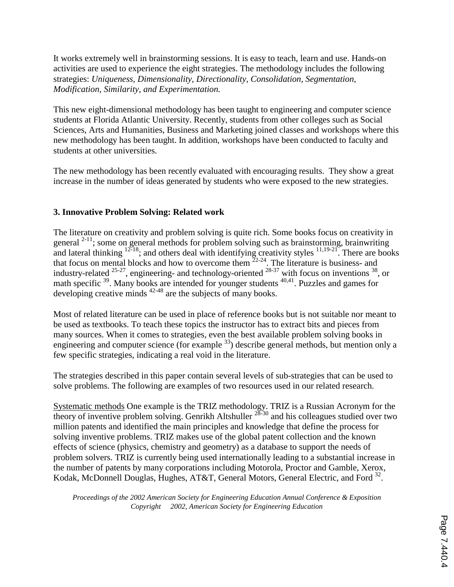It works extremely well in brainstorming sessions. It is easy to teach, learn and use. Hands-on activities are used to experience the eight strategies. The methodology includes the following strategies: *Uniqueness, Dimensionality, Directionality, Consolidation, Segmentation, Modification, Similarity, and Experimentation.*

This new eight-dimensional methodology has been taught to engineering and computer science students at Florida Atlantic University. Recently, students from other colleges such as Social Sciences, Arts and Humanities, Business and Marketing joined classes and workshops where this new methodology has been taught. In addition, workshops have been conducted to faculty and students at other universities.

The new methodology has been recently evaluated with encouraging results. They show a great increase in the number of ideas generated by students who were exposed to the new strategies.

# **3. Innovative Problem Solving: Related work**

The literature on creativity and problem solving is quite rich. Some books focus on creativity in general  $^{2-11}$ ; some on general methods for problem solving such as brainstorming, brainwriting and lateral thinking  $12-18$ ; and others deal with identifying creativity styles  $11,19-21$ . There are books that focus on mental blocks and how to overcome them  $22-24$ . The literature is business- and industry-related  $25-27$ , engineering- and technology-oriented  $28-37$  with focus on inventions  $38$ , or math specific <sup>39</sup>. Many books are intended for younger students <sup>40,41</sup>. Puzzles and games for developing creative minds <sup>42-48</sup> are the subjects of many books.

Most of related literature can be used in place of reference books but is not suitable nor meant to be used as textbooks. To teach these topics the instructor has to extract bits and pieces from many sources. When it comes to strategies, even the best available problem solving books in engineering and computer science (for example <sup>33</sup>) describe general methods, but mention only a few specific strategies, indicating a real void in the literature.

The strategies described in this paper contain several levels of sub-strategies that can be used to solve problems. The following are examples of two resources used in our related research.

Systematic methods One example is the TRIZ methodology. TRIZ is a Russian Acronym for the theory of inventive problem solving. Genrikh Altshuller  $28-30$  and his colleagues studied over two million patents and identified the main principles and knowledge that define the process for solving inventive problems. TRIZ makes use of the global patent collection and the known effects of science (physics, chemistry and geometry) as a database to support the needs of problem solvers. TRIZ is currently being used internationally leading to a substantial increase in the number of patents by many corporations including Motorola, Proctor and Gamble, Xerox, Kodak, McDonnell Douglas, Hughes, AT&T, General Motors, General Electric, and Ford<sup>32</sup>.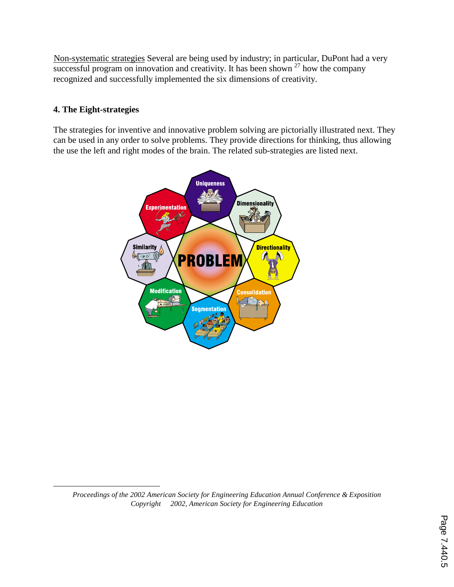Non-systematic strategies Several are being used by industry; in particular, DuPont had a very successful program on innovation and creativity. It has been shown  $27$  how the company recognized and successfully implemented the six dimensions of creativity.

# **4. The Eight-strategies**

 $\overline{a}$ 

The strategies for inventive and innovative problem solving are pictorially illustrated next. They can be used in any order to solve problems. They provide directions for thinking, thus allowing the use the left and right modes of the brain. The related sub-strategies are listed next.

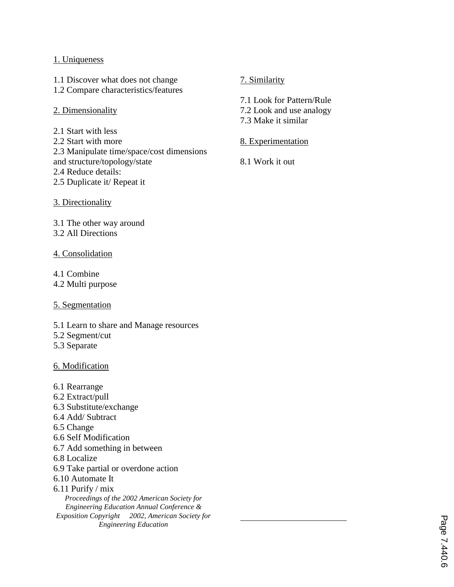## 1. Uniqueness

1.1 Discover what does not change 1.2 Compare characteristics/features

## 2. Dimensionality

2.1 Start with less 2.2 Start with more 2.3 Manipulate time/space/cost dimensions and structure/topology/state 2.4 Reduce details: 2.5 Duplicate it/ Repeat it

3. Directionality

3.1 The other way around 3.2 All Directions

### 4. Consolidation

4.1 Combine

4.2 Multi purpose

5. Segmentation

- 5.1 Learn to share and Manage resources
- 5.2 Segment/cut
- 5.3 Separate

#### 6. Modification

6.1 Rearrange 6.2 Extract/pull 6.3 Substitute/exchange 6.4 Add/ Subtract 6.5 Change 6.6 Self Modification 6.7 Add something in between 6.8 Localize 6.9 Take partial or overdone action 6.10 Automate It 6.11 Purify / mix *Proceedings of the 2002 American Society for Engineering Education Annual Conference & Exposition Copyright 2002, American Society for Engineering Education*

# 7. Similarity

7.1 Look for Pattern/Rule

7.2 Look and use analogy

7.3 Make it similar

## 8. Experimentation

8.1 Work it out

 $\overline{a}$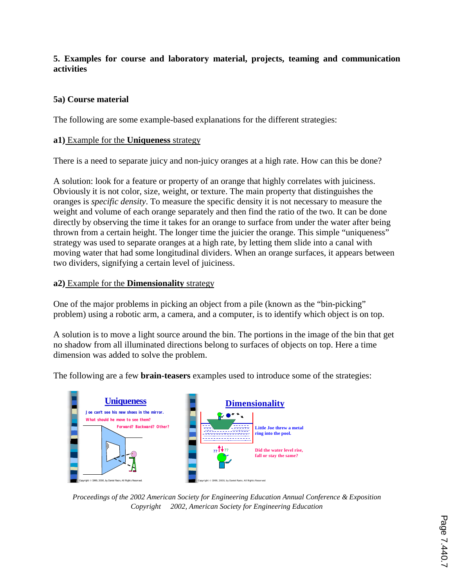# **5. Examples for course and laboratory material, projects, teaming and communication activities**

# **5a) Course material**

The following are some example-based explanations for the different strategies:

## **a1)** Example for the **Uniqueness** strategy

There is a need to separate juicy and non-juicy oranges at a high rate. How can this be done?

A solution: look for a feature or property of an orange that highly correlates with juiciness. Obviously it is not color, size, weight, or texture. The main property that distinguishes the oranges is *specific density*. To measure the specific density it is not necessary to measure the weight and volume of each orange separately and then find the ratio of the two. It can be done directly by observing the time it takes for an orange to surface from under the water after being thrown from a certain height. The longer time the juicier the orange. This simple "uniqueness" strategy was used to separate oranges at a high rate, by letting them slide into a canal with moving water that had some longitudinal dividers. When an orange surfaces, it appears between two dividers, signifying a certain level of juiciness.

## **a2)** Example for the **Dimensionality** strategy

One of the major problems in picking an object from a pile (known as the "bin-picking" problem) using a robotic arm, a camera, and a computer, is to identify which object is on top.

A solution is to move a light source around the bin. The portions in the image of the bin that get no shadow from all illuminated directions belong to surfaces of objects on top. Here a time dimension was added to solve the problem.

The following are a few **brain-teasers** examples used to introduce some of the strategies:



*Proceedings of the 2002 American Society for Engineering Education Annual Conference & Exposition Copyright 2002, American Society for Engineering Education*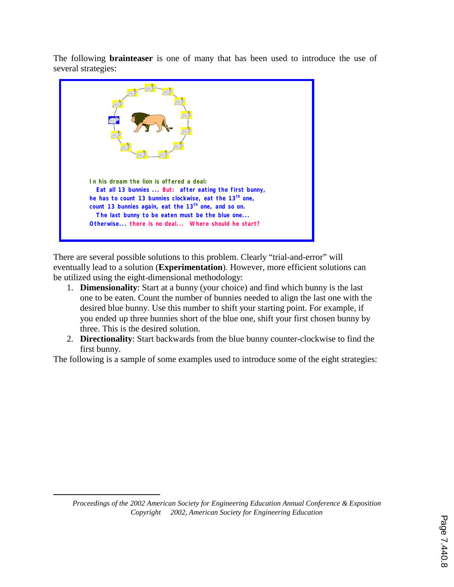The following **brainteaser** is one of many that has been used to introduce the use of several strategies:



There are several possible solutions to this problem. Clearly "trial-and-error" will eventually lead to a solution (**Experimentation**). However, more efficient solutions can be utilized using the eight-dimensional methodology:

- 1. **Dimensionality**: Start at a bunny (your choice) and find which bunny is the last one to be eaten. Count the number of bunnies needed to align the last one with the desired blue bunny. Use this number to shift your starting point. For example, if you ended up three bunnies short of the blue one, shift your first chosen bunny by three. This is the desired solution.
- 2. **Directionality**: Start backwards from the blue bunny counter-clockwise to find the first bunny.

The following is a sample of some examples used to introduce some of the eight strategies:

*Proceedings of the 2002 American Society for Engineering Education Annual Conference & Exposition Copyright 2002, American Society for Engineering Education*

 $\overline{a}$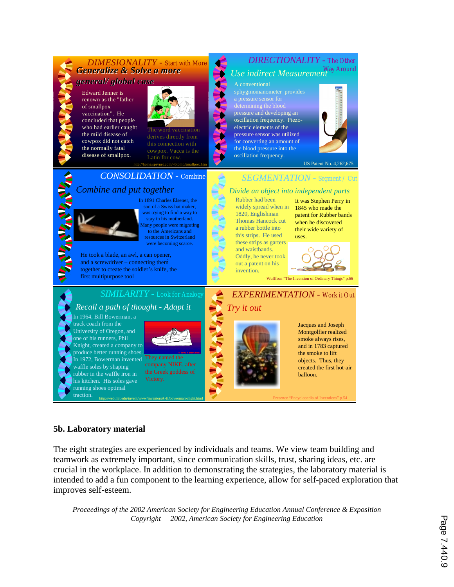#### *DIRECTIONALITY -* The Other *DIMESIONALITY -* Start with More *Generalize & Solve a more Generalize & Solve a more Use indirect Measurement* Way Around *general/ global case general/ global case* A conventional sphygmomanometer provides Edward Jenner is renown as the "father of smallpox pressure and developing an vaccination". He concluded that people oscillation frequency. Piezowho had earlier caught electric elements of the The word vaccination the mild disease of pressure sensor was utilized derives directly from cowpox did not catch for converting an amount of the normally fatal the blood pressure into the cowpox. Vacca is the disease of smallpox. oscillation frequency. US Patent No. 4,262,675 http://home.sprynet.com/~btomp/smallpox.htm *CONSOLIDATION -* Combine *SEGMENTATION -* Segment / Cut **ANTENNIA ANTEN** *Combine and put together Divide an object into independent parts* In 1891 Charles Elsener, the Rubber had been It was Stephen Perry in son of a Swiss hat maker, widely spread when in 1845 who made the was trying to find a way to 1820, Englishman patent for Rubber bands stay in his motherland. Thomas Hancock cut when he discovered lany people were migrating a rubber bottle into their wide variety of to the Americans and this strips. He used resources in Switzerland uses. these strips as garters were becoming scarce. and waistbands. . He took a blade, an awl, a can opener, Oddly, he never took and a screwdriver – connecting them out a patent on his together to create the soldier's knife, the invention. first multipurpose tool Wulffson "The Invention of Ordinary Things" p.66 *SIMILARITY -* Look for Analogy *EXPERIMENTATION -* Work it Out *Recall a path of thought - Adapt it Try it out* In 1964, Bill Bowerman, a track coach from the Jacques and Joseph University of Oregon, and Montgolfier realized one of his runners, Phil smoke always rises, Knight, created a company to and in 1783 captured produce better running shoes. the smoke to lift In 1972, Bowerman invented They named the objects. Thus, they waffle soles by shaping company NIKE, after created the first hot-air the Greek goddess of rubber in the waffle iron in balloon. Victory. his kitchen. His soles gave running shoes optimal

## **5b. Laboratory material**

traction. http://web.mit.edu/invent/www/inventorsA-H/bowermanknight.html

The eight strategies are experienced by individuals and teams. We view team building and teamwork as extremely important, since communication skills, trust, sharing ideas, etc. are crucial in the workplace. In addition to demonstrating the strategies, the laboratory material is intended to add a fun component to the learning experience, allow for self-paced exploration that improves self-esteem.

Presence "Encyclopedia of Inventions" p.54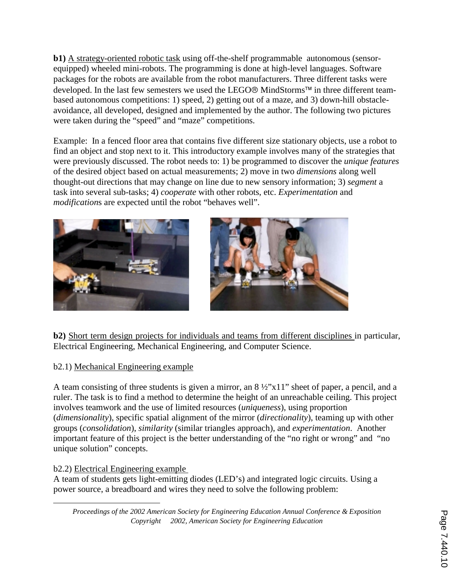**b1)** A strategy-oriented robotic task using off-the-shelf programmable autonomous (sensorequipped) wheeled mini-robots. The programming is done at high-level languages. Software packages for the robots are available from the robot manufacturers. Three different tasks were developed. In the last few semesters we used the LEGO<sup>®</sup> MindStorms<sup>™</sup> in three different teambased autonomous competitions: 1) speed, 2) getting out of a maze, and 3) down-hill obstacleavoidance, all developed, designed and implemented by the author. The following two pictures were taken during the "speed" and "maze" competitions.

Example: In a fenced floor area that contains five different size stationary objects, use a robot to find an object and stop next to it. This introductory example involves many of the strategies that were previously discussed. The robot needs to: 1) be programmed to discover the *unique features* of the desired object based on actual measurements; 2) move in two *dimensions* along well thought-out directions that may change on line due to new sensory information; 3) *segment* a task into several sub-tasks; 4) *cooperate* with other robots, etc. *Experimentation* and *modification*s are expected until the robot "behaves well".



**b2**) Short term design projects for individuals and teams from different disciplines in particular, Electrical Engineering, Mechanical Engineering, and Computer Science.

# b2.1) Mechanical Engineering example

A team consisting of three students is given a mirror, an 8 ½"x11" sheet of paper, a pencil, and a ruler. The task is to find a method to determine the height of an unreachable ceiling. This project involves teamwork and the use of limited resources (*uniqueness*), using proportion (*dimensionality*), specific spatial alignment of the mirror (*directionality*), teaming up with other groups (*consolidation*), *similarity* (similar triangles approach), and *experimentation*. Another important feature of this project is the better understanding of the "no right or wrong" and "no unique solution" concepts.

# b2.2) Electrical Engineering example

 $\overline{a}$ 

A team of students gets light-emitting diodes (LED's) and integrated logic circuits. Using a power source, a breadboard and wires they need to solve the following problem: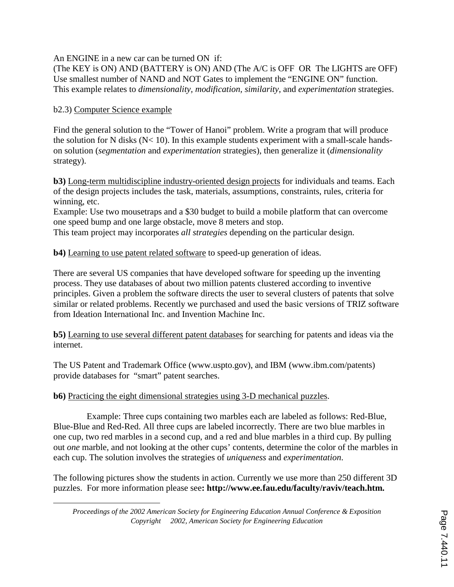An ENGINE in a new car can be turned ON if:

(The KEY is ON) AND (BATTERY is ON) AND (The A/C is OFF OR The LIGHTS are OFF) Use smallest number of NAND and NOT Gates to implement the "ENGINE ON" function. This example relates to *dimensionality, modification, similarity*, and *experimentation* strategies.

## b2.3) Computer Science example

 $\overline{a}$ 

Find the general solution to the "Tower of Hanoi" problem. Write a program that will produce the solution for N disks (N< 10). In this example students experiment with a small-scale handson solution (*segmentation* and *experimentation* strategies), then generalize it (*dimensionality* strategy).

**b3)** Long-term multidiscipline industry-oriented design projects for individuals and teams. Each of the design projects includes the task, materials, assumptions, constraints, rules, criteria for winning, etc.

Example: Use two mousetraps and a \$30 budget to build a mobile platform that can overcome one speed bump and one large obstacle, move 8 meters and stop.

This team project may incorporates *all strategies* depending on the particular design.

**b4)** Learning to use patent related software to speed-up generation of ideas.

There are several US companies that have developed software for speeding up the inventing process. They use databases of about two million patents clustered according to inventive principles. Given a problem the software directs the user to several clusters of patents that solve similar or related problems. Recently we purchased and used the basic versions of TRIZ software from Ideation International Inc. and Invention Machine Inc.

**b5)** Learning to use several different patent databases for searching for patents and ideas via the internet.

The US Patent and Trademark Office (www.uspto.gov), and IBM (www.ibm.com/patents) provide databases for "smart" patent searches.

## **b6)** Practicing the eight dimensional strategies using 3-D mechanical puzzles.

 Example: Three cups containing two marbles each are labeled as follows: Red-Blue, Blue-Blue and Red-Red. All three cups are labeled incorrectly. There are two blue marbles in one cup, two red marbles in a second cup, and a red and blue marbles in a third cup. By pulling out *one* marble, and not looking at the other cups' contents, determine the color of the marbles in each cup. The solution involves the strategies of *uniqueness* and *experimentation*.

The following pictures show the students in action. Currently we use more than 250 different 3D puzzles. For more information please see**: http://www.ee.**<sup>8</sup> **fau.edu/faculty/raviv/teach.htm.** 

*Proceedings of the 2002 American Society for Engineering Education Annual Conference & Exposition Copyright 2002, American Society for Engineering Education*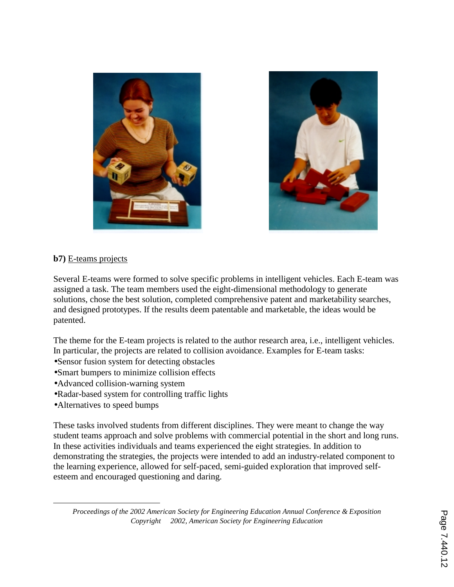



## **b7)** E-teams projects

Several E-teams were formed to solve specific problems in intelligent vehicles. Each E-team was assigned a task. The team members used the eight-dimensional methodology to generate solutions, chose the best solution, completed comprehensive patent and marketability searches, and designed prototypes. If the results deem patentable and marketable, the ideas would be patented.

The theme for the E-team projects is related to the author research area, i.e., intelligent vehicles. In particular, the projects are related to collision avoidance. Examples for E-team tasks:

- •Sensor fusion system for detecting obstacles
- •Smart bumpers to minimize collision effects
- •Advanced collision-warning system
- •Radar-based system for controlling traffic lights
- Alternatives to speed bumps

 $\overline{a}$ 

These tasks involved students from different disciplines. They were meant to change the way student teams approach and solve problems with commercial potential in the short and long runs. In these activities individuals and teams experienced the eight strategies. In addition to demonstrating the strategies, the projects were intended to add an industry-related component to the learning experience, allowed for self-paced, semi-guided exploration that improved selfesteem and encouraged questioning and daring.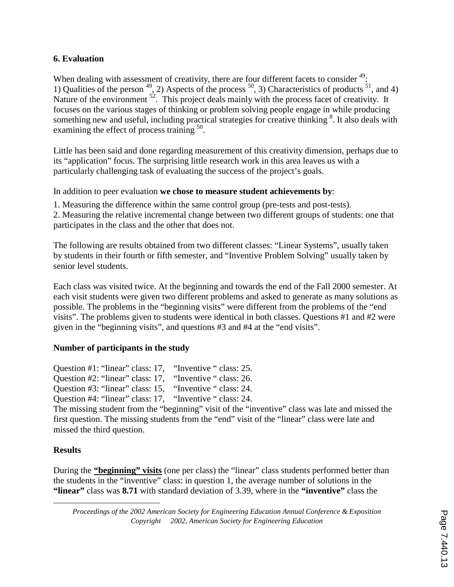# **6. Evaluation**

When dealing with assessment of creativity, there are four different facets to consider  $49$ : 1) Qualities of the person  $^{49}$ , 2) Aspects of the process  $^{50}$ , 3) Characteristics of products  $^{51}$ , and 4) Nature of the environment  $52$ . This project deals mainly with the process facet of creativity. It focuses on the various stages of thinking or problem solving people engage in while producing something new and useful, including practical strategies for creative thinking <sup>8</sup>. It also deals with examining the effect of process training <sup>50</sup>.

Little has been said and done regarding measurement of this creativity dimension, perhaps due to its "application" focus. The surprising little research work in this area leaves us with a particularly challenging task of evaluating the success of the project's goals.

In addition to peer evaluation **we chose to measure student achievements by**:

1. Measuring the difference within the same control group (pre-tests and post-tests).

2. Measuring the relative incremental change between two different groups of students: one that participates in the class and the other that does not.

The following are results obtained from two different classes: "Linear Systems", usually taken by students in their fourth or fifth semester, and "Inventive Problem Solving" usually taken by senior level students.

Each class was visited twice. At the beginning and towards the end of the Fall 2000 semester. At each visit students were given two different problems and asked to generate as many solutions as possible. The problems in the "beginning visits" were different from the problems of the "end visits". The problems given to students were identical in both classes. Questions #1 and #2 were given in the "beginning visits", and questions #3 and #4 at the "end visits".

# **Number of participants in the study**

Question #1: "linear" class: 17, "Inventive " class: 25. Question #2: "linear" class: 17, "Inventive " class: 26. Question #3: "linear" class: 15, "Inventive " class: 24.

Question #4: "linear" class: 17, "Inventive " class: 24.

The missing student from the "beginning" visit of the "inventive" class was late and missed the first question. The missing students from the "end" visit of the "linear" class were late and missed the third question.

# **Results**

 $\overline{a}$ 

During the **"beginning" visits** (one per class) the "linear" class students performed better than the students in the "inventive" class: in question 1, the average number of solutions in the **"linear"** class was **8.71** with standard deviation of 3.39, where in the **"inventive"** class the

*Proceedings of the 2002 American Society for Engineering Education Annual Conference & Exposition Copyright 2002, American Society for Engineering Education*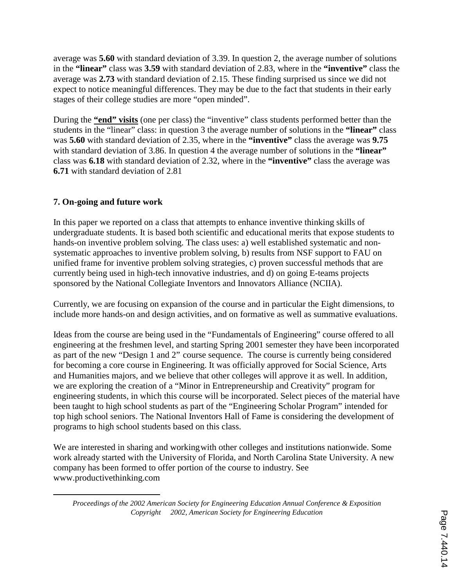average was **5.60** with standard deviation of 3.39. In question 2, the average number of solutions in the **"linear"** class was **3.59** with standard deviation of 2.83, where in the **"inventive"** class the average was **2.73** with standard deviation of 2.15. These finding surprised us since we did not expect to notice meaningful differences. They may be due to the fact that students in their early stages of their college studies are more "open minded".

During the **"end" visits** (one per class) the "inventive" class students performed better than the students in the "linear" class: in question 3 the average number of solutions in the **"linear"** class was **5.60** with standard deviation of 2.35, where in the **"inventive"** class the average was **9.75** with standard deviation of 3.86. In question 4 the average number of solutions in the **"linear"** class was **6.18** with standard deviation of 2.32, where in the **"inventive"** class the average was **6.71** with standard deviation of 2.81

# **7. On-going and future work**

 $\overline{a}$ 

In this paper we reported on a class that attempts to enhance inventive thinking skills of undergraduate students. It is based both scientific and educational merits that expose students to hands-on inventive problem solving. The class uses: a) well established systematic and nonsystematic approaches to inventive problem solving, b) results from NSF support to FAU on unified frame for inventive problem solving strategies, c) proven successful methods that are currently being used in high-tech innovative industries, and d) on going E-teams projects sponsored by the National Collegiate Inventors and Innovators Alliance (NCIIA).

Currently, we are focusing on expansion of the course and in particular the Eight dimensions, to include more hands-on and design activities, and on formative as well as summative evaluations.

Ideas from the course are being used in the "Fundamentals of Engineering" course offered to all engineering at the freshmen level, and starting Spring 2001 semester they have been incorporated as part of the new "Design 1 and 2" course sequence. The course is currently being considered for becoming a core course in Engineering. It was officially approved for Social Science, Arts and Humanities majors, and we believe that other colleges will approve it as well. In addition, we are exploring the creation of a "Minor in Entrepreneurship and Creativity" program for engineering students, in which this course will be incorporated. Select pieces of the material have been taught to high school students as part of the "Engineering Scholar Program" intended for top high school seniors. The National Inventors Hall of Fame is considering the development of programs to high school students based on this class.

We are interested in sharing and working with other colleges and institutions nationwide. Some work already started with the University of Florida, and North Carolina State University. A new company has been formed to offer portion of the course to industry. See www.productivethinking.com

*Proceedings of the 2002 American Society for Engineering Education Annual Conference & Exposition Copyright 2002, American Society for Engineering Education*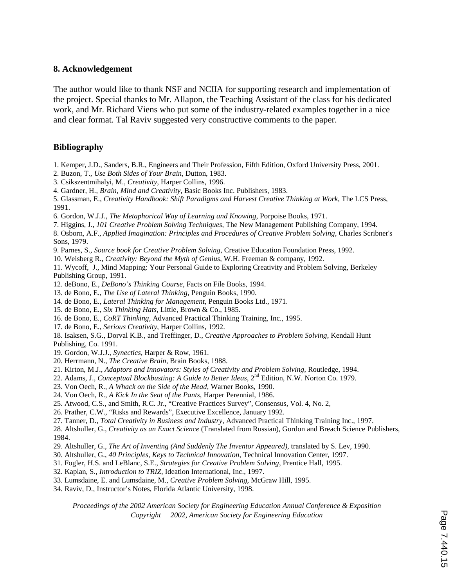#### **8. Acknowledgement**

The author would like to thank NSF and NCIIA for supporting research and implementation of the project. Special thanks to Mr. Allapon, the Teaching Assistant of the class for his dedicated work, and Mr. Richard Viens who put some of the industry-related examples together in a nice and clear format. Tal Raviv suggested very constructive comments to the paper.

#### **Bibliography**

- 1. Kemper, J.D., Sanders, B.R., Engineers and Their Profession, Fifth Edition, Oxford University Press, 2001.
- 2. Buzon, T., *Use Both Sides of Your Brain*, Dutton, 1983.
- 3. Csikszentmihalyi, M., *Creativity*, Harper Collins, 1996.
- 4. Gardner, H., *Brain, Mind and Creativity*, Basic Books Inc. Publishers, 1983.

5. Glassman, E., *Creativity Handbook: Shift Paradigms and Harvest Creative Thinking at Work*, The LCS Press, 1991.

- 6. Gordon, W.J.J., *The Metaphorical Way of Learning and Knowing,* Porpoise Books, 1971.
- 7. Higgins, J., *101 Creative Problem Solving Techniques*, The New Management Publishing Company, 1994.

8. Osborn, A.F., *Applied Imagination: Principles and Procedures of Creative Problem Solving*, Charles Scribner's Sons, 1979.

- 9. Parnes, S., *Source book for Creative Problem Solving*, Creative Education Foundation Press, 1992.
- 10. Weisberg R., *Creativity: Beyond the Myth of Genius*, W.H. Freeman & company, 1992.

11. Wycoff, J., Mind Mapping: Your Personal Guide to Exploring Creativity and Problem Solving, Berkeley Publishing Group, 1991.

- 12. deBono, E., *DeBono's Thinking Course*, Facts on File Books, 1994.
- 13. de Bono, E., *The Use of Lateral Thinking,* Penguin Books, 1990.
- 14. de Bono, E., *Lateral Thinking for Management*, Penguin Books Ltd., 1971.
- 15. de Bono, E., *Six Thinking Hats,* Little, Brown & Co., 1985.
- 16. de Bono, E., *CoRT Thinking*, Advanced Practical Thinking Training, Inc., 1995.
- 17. de Bono, E., *Serious Creativity*, Harper Collins, 1992.
- 18. Isaksen, S.G., Dorval K.B., and Treffinger, D*., Creative Approaches to Problem Solving*, Kendall Hunt Publishing, Co. 1991.
- 19. Gordon, W.J.J., *Synectics,* Harper & Row, 1961.
- 20. Herrmann, N., *The Creative Brain*, Brain Books, 1988.
- 21. Kirton, M.J., *Adaptors and Innovators: Styles of Creativity and Problem Solving,* Routledge, 1994.
- 22. Adams, J., *Conceptual Blockbusting: A Guide to Better Ideas*, 2<sup>nd</sup> Edition, N.W. Norton Co. 1979.
- 23. Von Oech, R., *A Whack on the Side of the Head*, Warner Books, 1990.
- 24. Von Oech, R., *A Kick In the Seat of the Pants*, Harper Perennial, 1986.
- 25. Atwood, C.S., and Smith, R.C. Jr., "Creative Practices Survey", Consensus, Vol. 4, No. 2,
- 26. Prather, C.W., "Risks and Rewards", Executive Excellence, January 1992.
- 27. Tanner, D., *Total Creativity in Business and Industry*, Advanced Practical Thinking Training Inc., 1997.

28. Altshuller, G., *Creativity as an Exact Science* (Translated from Russian), Gordon and Breach Science Publishers, 1984.

- 29. Altshuller, G., *The Art of Inventing (And Suddenly The Inventor Appeared)*, translated by S. Lev, 1990.
- 30. Altshuller, G., *40 Principles, Keys to Technical Innovation*, Technical Innovation Center, 1997.
- 31. Fogler, H.S. and LeBlanc, S.E., *Strategies for Creative Problem Solving*, Prentice Hall, 1995.
- 32. Kaplan, S.*, Introduction to TRIZ,* Ideation International, Inc., 1997.
- 33. Lumsdaine, E. and Lumsdaine, M., *Creative Problem Solving,* McGraw Hill, 1995.
- 34. Raviv, D., Instructor's Notes, Florida Atlantic University, 1998.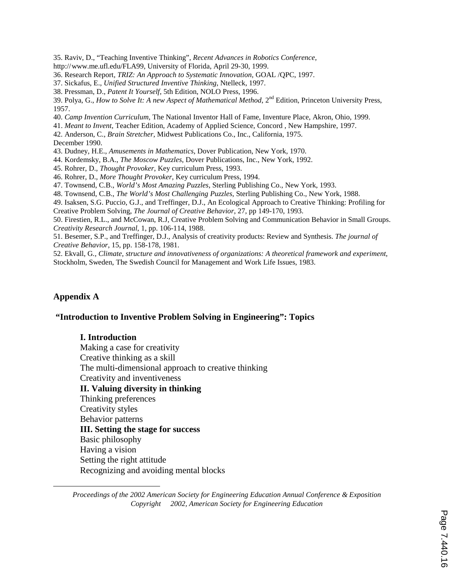35. Raviv, D., "Teaching Inventive Thinking", *Recent Advances in Robotics Conference,* 

http://www.me.ufl.edu/FLA99, University of Florida, April 29-30, 1999.

36. Research Report*, TRIZ: An Approach to Systematic Innovation*, GOAL /QPC, 1997.

37. Sickafus, E., *Unified Structured Inventive Thinking*, Ntelleck, 1997.

38. Pressman, D., *Patent It Yourself*, 5th Edition, NOLO Press, 1996.

39. Polya, G., *How to Solve It: A new Aspect of Mathematical Method*, 2nd Edition, Princeton University Press, 1957.

40. *Camp Invention Curriculum*, The National Inventor Hall of Fame, Inventure Place, Akron, Ohio, 1999.

41. *Meant to Invent*, Teacher Edition, Academy of Applied Science, Concord , New Hampshire, 1997.

42. Anderson, C., *Brain Stretcher*, Midwest Publications Co., Inc., California, 1975.

December 1990.

43. Dudney, H.E., *Amusements in Mathematics*, Dover Publication, New York, 1970.

44. Kordemsky, B.A., *The Moscow Puzzles*, Dover Publications, Inc., New York, 1992.

45. Rohrer, D., *Thought Provoker*, Key curriculum Press, 1993.

46. Rohrer, D., *More Thought Provoker*, Key curriculum Press, 1994.

47. Townsend, C.B., *World's Most Amazing Puzzles*, Sterling Publishing Co., New York, 1993.

48. Townsend, C.B., *The World's Most Challenging Puzzles*, Sterling Publishing Co., New York, 1988.

49. Isaksen, S.G. Puccio, G.J., and Treffinger, D.J., An Ecological Approach to Creative Thinking: Profiling for Creative Problem Solving, *The Journal of Creative Behavior*, 27, pp 149-170, 1993.

50. Firestien, R.L., and McCowan, R.J, Creative Problem Solving and Communication Behavior in Small Groups. *Creativity Research Journal*, 1, pp. 106-114, 1988.

51. Besemer, S.P., and Treffinger, D.J., Analysis of creativity products: Review and Synthesis. *The journal of Creative Behavior*, 15, pp. 158-178, 1981.

52. Ekvall, G*., Climate, structure and innovativeness of organizations: A theoretical framework and experiment*, Stockholm, Sweden, The Swedish Council for Management and Work Life Issues, 1983.

## **Appendix A**

 $\overline{a}$ 

#### **"Introduction to Inventive Problem Solving in Engineering": Topics**

#### **I. Introduction**

Making a case for creativity Creative thinking as a skill The multi-dimensional approach to creative thinking Creativity and inventiveness **II. Valuing diversity in thinking**  Thinking preferences Creativity styles Behavior patterns **III. Setting the stage for success**  Basic philosophy Having a vision Setting the right attitude Recognizing and avoiding mental blocks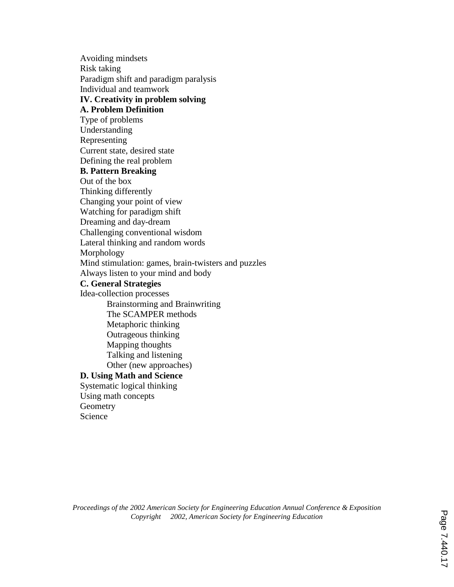Avoiding mindsets Risk taking Paradigm shift and paradigm paralysis Individual and teamwork **IV. Creativity in problem solving A. Problem Definition**  Type of problems Understanding Representing Current state, desired state Defining the real problem **B. Pattern Breaking**  Out of the box Thinking differently Changing your point of view Watching for paradigm shift Dreaming and day-dream Challenging conventional wisdom Lateral thinking and random words Morphology Mind stimulation: games, brain-twisters and puzzles Always listen to your mind and body **C. General Strategies**  Idea-collection processes Brainstorming and Brainwriting The SCAMPER methods Metaphoric thinking Outrageous thinking Mapping thoughts Talking and listening Other (new approaches) **D. Using Math and Science**  Systematic logical thinking Using math concepts **Geometry** Science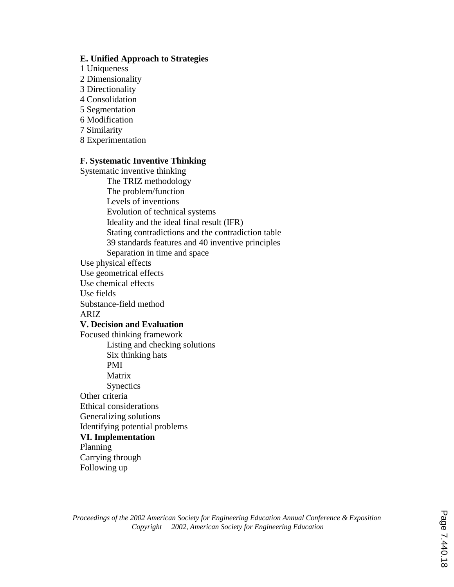## **E. Unified Approach to Strategies**

- 1 Uniqueness
- 2 Dimensionality
- 3 Directionality
- 4 Consolidation
- 5 Segmentation
- 6 Modification
- 7 Similarity
- 8 Experimentation

## **F. Systematic Inventive Thinking**

Systematic inventive thinking The TRIZ methodology The problem/function Levels of inventions Evolution of technical systems Ideality and the ideal final result (IFR) Stating contradictions and the contradiction table 39 standards features and 40 inventive principles Separation in time and space Use physical effects Use geometrical effects Use chemical effects Use fields Substance-field method ARIZ **V. Decision and Evaluation**  Focused thinking framework Listing and checking solutions Six thinking hats PMI Matrix **Synectics** Other criteria Ethical considerations Generalizing solutions Identifying potential problems **VI. Implementation** Planning Carrying through Following up